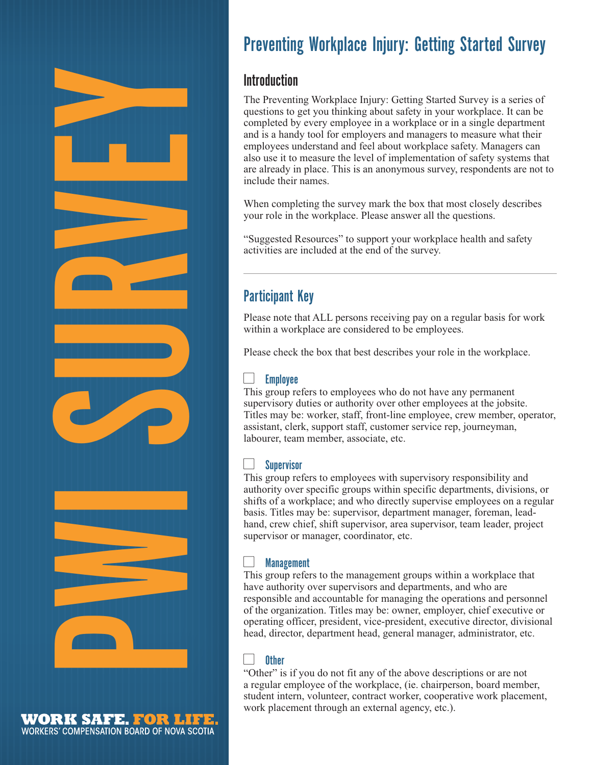

WORK SAFE. FOR LIFE. WORKERS' COMPENSATION BOARD OF NOVA SCOTIA

# Preventing Workplace Injury: Getting Started Survey

# Introduction

The Preventing Workplace Injury: Getting Started Survey is a series of questions to get you thinking about safety in your workplace. It can be completed by every employee in a workplace or in a single department and is a handy tool for employers and managers to measure what their employees understand and feel about workplace safety. Managers can also use it to measure the level of implementation of safety systems that are already in place. This is an anonymous survey, respondents are not to include their names.

When completing the survey mark the box that most closely describes your role in the workplace. Please answer all the questions.

"Suggested Resources" to support your workplace health and safety activities are included at the end of the survey.

# Participant Key

Please note that ALL persons receiving pay on a regular basis for work within a workplace are considered to be employees.

Please check the box that best describes your role in the workplace.

#### $\Box$ Employee

This group refers to employees who do not have any permanent supervisory duties or authority over other employees at the jobsite. Titles may be: worker, staff, front-line employee, crew member, operator, assistant, clerk, support staff, customer service rep, journeyman, labourer, team member, associate, etc.

#### $\Box$ **Supervisor**

This group refers to employees with supervisory responsibility and authority over specific groups within specific departments, divisions, or shifts of a workplace; and who directly supervise employees on a regular basis. Titles may be: supervisor, department manager, foreman, leadhand, crew chief, shift supervisor, area supervisor, team leader, project supervisor or manager, coordinator, etc.

#### $\Box$ **Management**

This group refers to the management groups within a workplace that have authority over supervisors and departments, and who are responsible and accountable for managing the operations and personnel of the organization. Titles may be: owner, employer, chief executive or operating officer, president, vice-president, executive director, divisional head, director, department head, general manager, administrator, etc.

#### $\Box$ **Other**

"Other" is if you do not fit any of the above descriptions or are not a regular employee of the workplace, (ie. chairperson, board member, student intern, volunteer, contract worker, cooperative work placement, work placement through an external agency, etc.).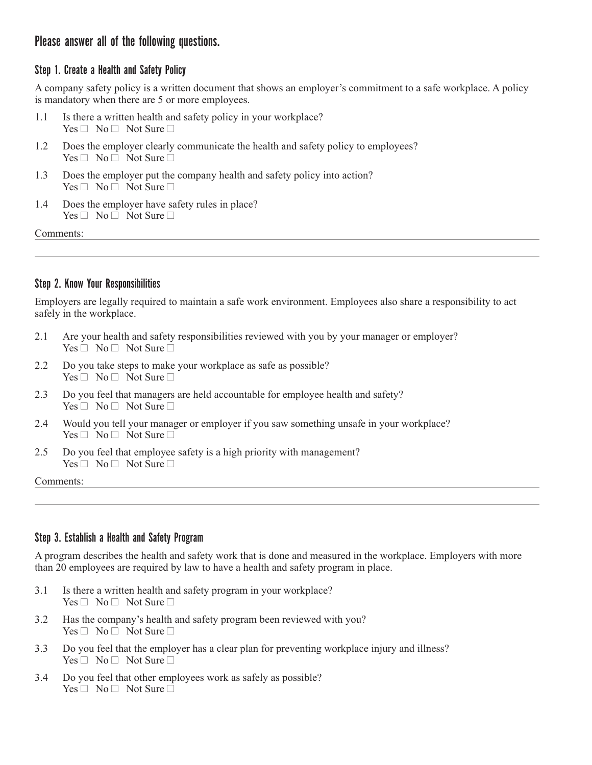## Please answer all of the following questions.

### Step 1. Create a Health and Safety Policy

A company safety policy is a written document that shows an employer's commitment to a safe workplace. A policy is mandatory when there are 5 or more employees.

- 1.1 Is there a written health and safety policy in your workplace?  $Yes \Box No \Box Not Sure \Box$
- 1.2 Does the employer clearly communicate the health and safety policy to employees?  $Yes \Box No \Box Not Sure \Box$
- 1.3 Does the employer put the company health and safety policy into action?  $Yes \Box No \Box Not Sure \Box$
- 1.4 Does the employer have safety rules in place?  $Yes \Box No \Box Not Sure \Box$

Comments:

### Step 2. Know Your Responsibilities

Employers are legally required to maintain a safe work environment. Employees also share a responsibility to act safely in the workplace.

- 2.1 Are your health and safety responsibilities reviewed with you by your manager or employer?  $Yes \Box No \Box Not Sure \Box$
- 2.2 Do you take steps to make your workplace as safe as possible?  $Yes \Box No \Box Not Sure \Box$
- 2.3 Do you feel that managers are held accountable for employee health and safety?  $Yes \Box No \Box Not Sure \Box$
- 2.4 Would you tell your manager or employer if you saw something unsafe in your workplace?  $Yes \Box No \Box Not Sure \Box$
- 2.5 Do you feel that employee safety is a high priority with management?  $Yes \Box No \Box Not Sure \Box$

#### Comments:

### Step 3. Establish a Health and Safety Program

A program describes the health and safety work that is done and measured in the workplace. Employers with more than 20 employees are required by law to have a health and safety program in place.

- 3.1 Is there a written health and safety program in your workplace?  $Yes \Box No \Box Not Sure \Box$
- 3.2 Has the company's health and safety program been reviewed with you?  $Yes \Box No \Box Not Sure \Box$
- 3.3 Do you feel that the employer has a clear plan for preventing workplace injury and illness?  $Yes \Box No \Box Not Sure \Box$
- 3.4 Do you feel that other employees work as safely as possible?  $Yes \Box No \Box Not Sure \Box$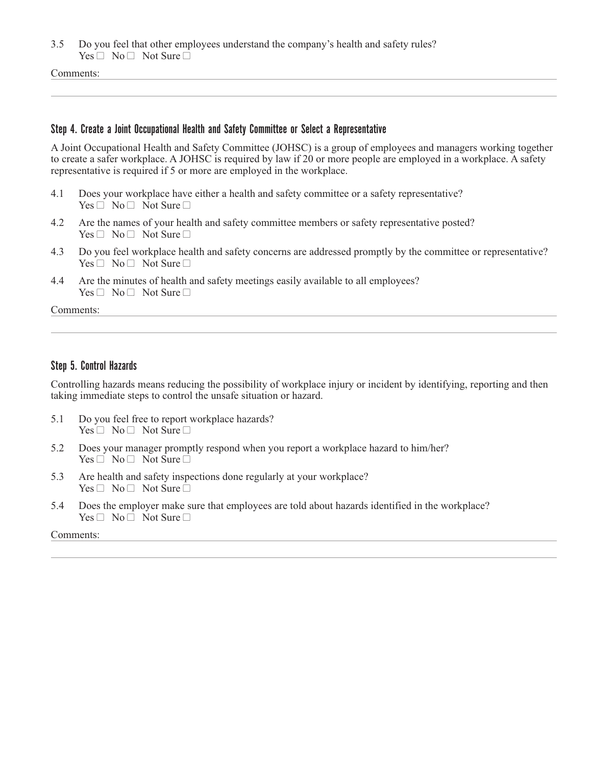3.5 Do you feel that other employees understand the company's health and safety rules?  $Yes \Box No \Box Not Sure \Box$ 

Comments:

#### Step 4. Create a Joint Occupational Health and Safety Committee or Select a Representative

A Joint Occupational Health and Safety Committee (JOHSC) is a group of employees and managers working together to create a safer workplace. A JOHSC is required by law if 20 or more people are employed in a workplace. A safety representative is required if 5 or more are employed in the workplace.

- 4.1 Does your workplace have either a health and safety committee or a safety representative?  $Yes \Box No \Box Not Sure \Box$
- 4.2 Are the names of your health and safety committee members or safety representative posted?  $Yes \Box No \Box Not Sure \Box$
- 4.3 Do you feel workplace health and safety concerns are addressed promptly by the committee or representative?  $Yes \Box No \Box Not Sure \Box$
- 4.4 Are the minutes of health and safety meetings easily available to all employees?  $Yes \Box No \Box Not Sure \Box$

Comments:

#### Step 5. Control Hazards

Controlling hazards means reducing the possibility of workplace injury or incident by identifying, reporting and then taking immediate steps to control the unsafe situation or hazard.

- 5.1 Do you feel free to report workplace hazards?  $Yes \Box No \Box Not Sure \Box$
- 5.2 Does your manager promptly respond when you report a workplace hazard to him/her?  $Yes \Box No \Box Not Sure \Box$
- 5.3 Are health and safety inspections done regularly at your workplace?  $Yes \Box No \Box Not Sure \Box$
- 5.4 Does the employer make sure that employees are told about hazards identified in the workplace?  $Yes \Box No \Box Not Sure \Box$

#### Comments: